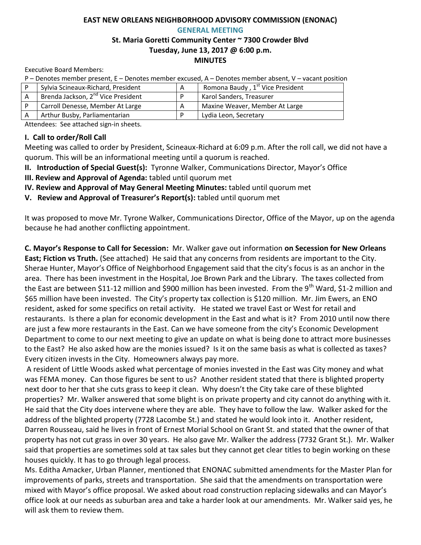# **EAST NEW ORLEANS NEIGHBORHOOD ADVISORY COMMISSION (ENONAC) GENERAL MEETING**

#### **St. Maria Goretti Community Center ~ 7300 Crowder Blvd Tuesday, June 13, 2017 @ 6:00 p.m. MINUTES**

Executive Board Members:

P – Denotes member present, E – Denotes member excused, A – Denotes member absent, V – vacant position

| Sylvia Scineaux-Richard, President             | A | Romona Baudy, 1 <sup>st</sup> Vice President |
|------------------------------------------------|---|----------------------------------------------|
| Brenda Jackson, 2 <sup>nd</sup> Vice President |   | Karol Sanders, Treasurer                     |
| Carroll Denesse, Member At Large               |   | Maxine Weaver, Member At Large               |
| Arthur Busby, Parliamentarian                  |   | Lydia Leon, Secretary                        |

Attendees: See attached sign-in sheets.

#### **I. Call to order/Roll Call**

Meeting was called to order by President, Scineaux-Richard at 6:09 p.m. After the roll call, we did not have a quorum. This will be an informational meeting until a quorum is reached.

**II. Introduction of Special Guest(s):** Tyronne Walker, Communications Director, Mayor's Office

**III. Review and Approval of Agenda:** tabled until quorum met

**IV. Review and Approval of May General Meeting Minutes:** tabled until quorum met

**V. Review and Approval of Treasurer's Report(s):** tabled until quorum met

It was proposed to move Mr. Tyrone Walker, Communications Director, Office of the Mayor, up on the agenda because he had another conflicting appointment.

**C. Mayor's Response to Call for Secession:** Mr. Walker gave out information **on Secession for New Orleans East; Fiction vs Truth.** (See attached) He said that any concerns from residents are important to the City. Sherae Hunter, Mayor's Office of Neighborhood Engagement said that the city's focus is as an anchor in the area. There has been investment in the Hospital, Joe Brown Park and the Library. The taxes collected from the East are between \$11-12 million and \$900 million has been invested. From the 9<sup>th</sup> Ward, \$1-2 million and \$65 million have been invested. The City's property tax collection is \$120 million. Mr. Jim Ewers, an ENO resident, asked for some specifics on retail activity. He stated we travel East or West for retail and restaurants. Is there a plan for economic development in the East and what is it? From 2010 until now there are just a few more restaurants in the East. Can we have someone from the city's Economic Development Department to come to our next meeting to give an update on what is being done to attract more businesses to the East? He also asked how are the monies issued? Is it on the same basis as what is collected as taxes? Every citizen invests in the City. Homeowners always pay more.

A resident of Little Woods asked what percentage of monies invested in the East was City money and what was FEMA money. Can those figures be sent to us? Another resident stated that there is blighted property next door to her that she cuts grass to keep it clean. Why doesn't the City take care of these blighted properties? Mr. Walker answered that some blight is on private property and city cannot do anything with it. He said that the City does intervene where they are able. They have to follow the law. Walker asked for the address of the blighted property (7728 Lacombe St.) and stated he would look into it. Another resident, Darren Rousseau, said he lives in front of Ernest Morial School on Grant St. and stated that the owner of that property has not cut grass in over 30 years. He also gave Mr. Walker the address (7732 Grant St.). Mr. Walker said that properties are sometimes sold at tax sales but they cannot get clear titles to begin working on these houses quickly. It has to go through legal process.

Ms. Editha Amacker, Urban Planner, mentioned that ENONAC submitted amendments for the Master Plan for improvements of parks, streets and transportation. She said that the amendments on transportation were mixed with Mayor's office proposal. We asked about road construction replacing sidewalks and can Mayor's office look at our needs as suburban area and take a harder look at our amendments. Mr. Walker said yes, he will ask them to review them.